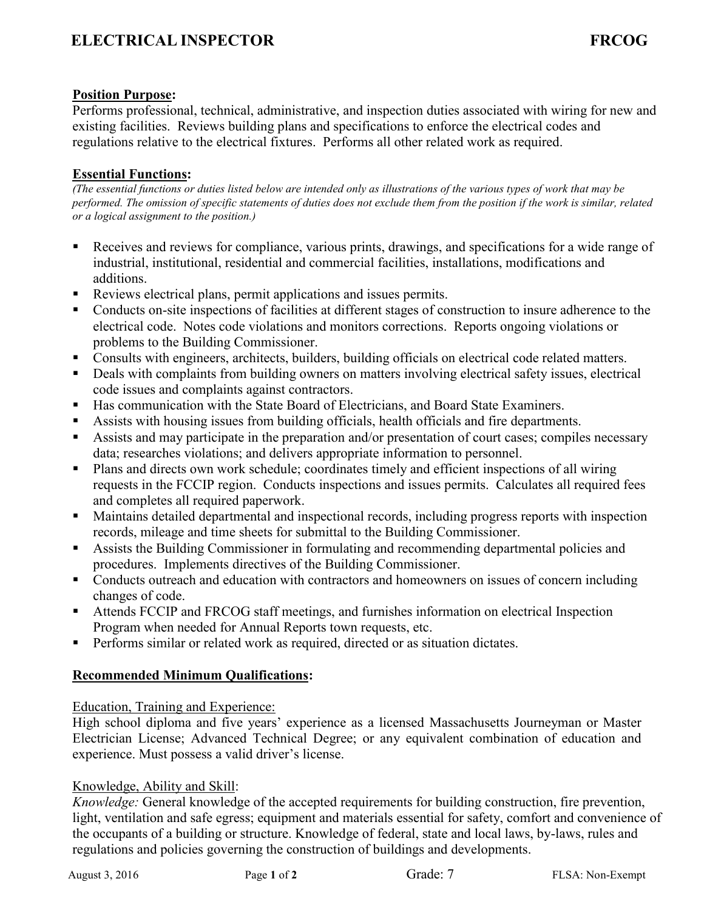# **ELECTRICAL INSPECTOR FRCOG**

### **Position Purpose:**

Performs professional, technical, administrative, and inspection duties associated with wiring for new and existing facilities. Reviews building plans and specifications to enforce the electrical codes and regulations relative to the electrical fixtures. Performs all other related work as required.

### **Essential Functions:**

*(The essential functions or duties listed below are intended only as illustrations of the various types of work that may be performed. The omission of specific statements of duties does not exclude them from the position if the work is similar, related or a logical assignment to the position.)*

- Receives and reviews for compliance, various prints, drawings, and specifications for a wide range of industrial, institutional, residential and commercial facilities, installations, modifications and additions.
- Reviews electrical plans, permit applications and issues permits.
- Conducts on-site inspections of facilities at different stages of construction to insure adherence to the electrical code. Notes code violations and monitors corrections. Reports ongoing violations or problems to the Building Commissioner.
- Consults with engineers, architects, builders, building officials on electrical code related matters.
- Deals with complaints from building owners on matters involving electrical safety issues, electrical code issues and complaints against contractors.
- Has communication with the State Board of Electricians, and Board State Examiners.
- Assists with housing issues from building officials, health officials and fire departments.
- Assists and may participate in the preparation and/or presentation of court cases; compiles necessary data; researches violations; and delivers appropriate information to personnel.
- Plans and directs own work schedule; coordinates timely and efficient inspections of all wiring requests in the FCCIP region. Conducts inspections and issues permits. Calculates all required fees and completes all required paperwork.
- Maintains detailed departmental and inspectional records, including progress reports with inspection records, mileage and time sheets for submittal to the Building Commissioner.
- Assists the Building Commissioner in formulating and recommending departmental policies and procedures. Implements directives of the Building Commissioner.
- Conducts outreach and education with contractors and homeowners on issues of concern including changes of code.
- Attends FCCIP and FRCOG staff meetings, and furnishes information on electrical Inspection Program when needed for Annual Reports town requests, etc.
- Performs similar or related work as required, directed or as situation dictates.

### **Recommended Minimum Qualifications:**

#### Education, Training and Experience:

High school diploma and five years' experience as a licensed Massachusetts Journeyman or Master Electrician License; Advanced Technical Degree; or any equivalent combination of education and experience. Must possess a valid driver's license.

#### Knowledge, Ability and Skill:

*Knowledge:* General knowledge of the accepted requirements for building construction, fire prevention, light, ventilation and safe egress; equipment and materials essential for safety, comfort and convenience of the occupants of a building or structure. Knowledge of federal, state and local laws, by-laws, rules and regulations and policies governing the construction of buildings and developments.